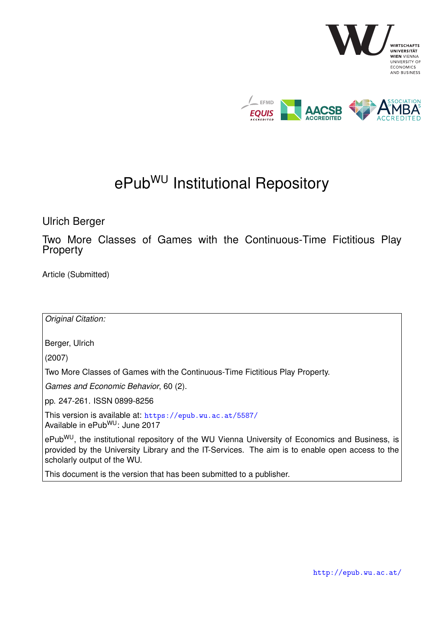

# ePub<sup>WU</sup> Institutional Repository

Ulrich Berger

Two More Classes of Games with the Continuous-Time Fictitious Play Property

Article (Submitted)

*Original Citation:* Berger, Ulrich (2007) Two More Classes of Games with the Continuous-Time Fictitious Play Property. *Games and Economic Behavior*, 60 (2). pp. 247-261. ISSN 0899-8256 This version is available at: <https://epub.wu.ac.at/5587/> Available in ePubWU: June 2017

ePub<sup>WU</sup>, the institutional repository of the WU Vienna University of Economics and Business, is provided by the University Library and the IT-Services. The aim is to enable open access to the scholarly output of the WU.

This document is the version that has been submitted to a publisher.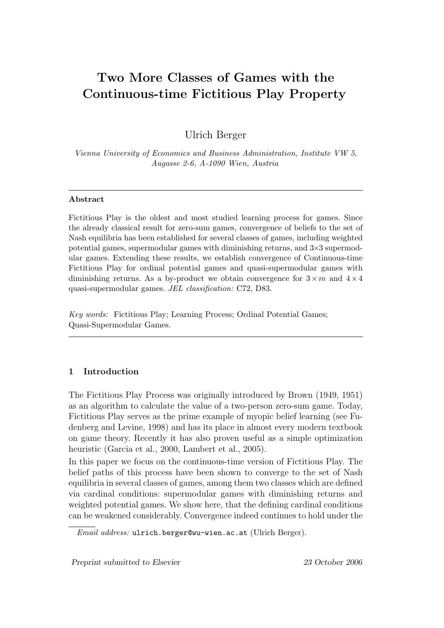# Two More Classes of Games with the Continuous-time Fictitious Play Property

Ulrich Berger

Vienna University of Economics and Business Administration, Institute VW 5, Augasse 2-6, A-1090 Wien, Austria

# Abstract

Fictitious Play is the oldest and most studied learning process for games. Since the already classical result for zero-sum games, convergence of beliefs to the set of Nash equilibria has been established for several classes of games, including weighted potential games, supermodular games with diminishing returns, and 3×3 supermodular games. Extending these results, we establish convergence of Continuous-time Fictitious Play for ordinal potential games and quasi-supermodular games with diminishing returns. As a by-product we obtain convergence for  $3 \times m$  and  $4 \times 4$ quasi-supermodular games. JEL classification: C72, D83.

Key words: Fictitious Play; Learning Process; Ordinal Potential Games; Quasi-Supermodular Games.

# 1 Introduction

The Fictitious Play Process was originally introduced by Brown (1949, 1951) as an algorithm to calculate the value of a two-person zero-sum game. Today, Fictitious Play serves as the prime example of myopic belief learning (see Fudenberg and Levine, 1998) and has its place in almost every modern textbook on game theory. Recently it has also proven useful as a simple optimization heuristic (Garcia et al., 2000, Lambert et al., 2005).

In this paper we focus on the continuous-time version of Fictitious Play. The belief paths of this process have been shown to converge to the set of Nash equilibria in several classes of games, among them two classes which are defined via cardinal conditions: supermodular games with diminishing returns and weighted potential games. We show here, that the defining cardinal conditions can be weakened considerably. Convergence indeed continues to hold under the

Email address: ulrich.berger@wu-wien.ac.at (Ulrich Berger).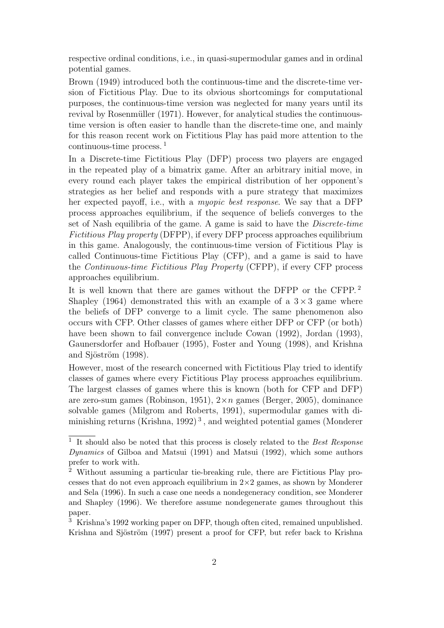respective ordinal conditions, i.e., in quasi-supermodular games and in ordinal potential games.

Brown (1949) introduced both the continuous-time and the discrete-time version of Fictitious Play. Due to its obvious shortcomings for computational purposes, the continuous-time version was neglected for many years until its revival by Rosenmüller (1971). However, for analytical studies the continuoustime version is often easier to handle than the discrete-time one, and mainly for this reason recent work on Fictitious Play has paid more attention to the continuous-time process. <sup>1</sup>

In a Discrete-time Fictitious Play (DFP) process two players are engaged in the repeated play of a bimatrix game. After an arbitrary initial move, in every round each player takes the empirical distribution of her opponent's strategies as her belief and responds with a pure strategy that maximizes her expected payoff, i.e., with a myopic best response. We say that a DFP process approaches equilibrium, if the sequence of beliefs converges to the set of Nash equilibria of the game. A game is said to have the Discrete-time Fictitious Play property (DFPP), if every DFP process approaches equilibrium in this game. Analogously, the continuous-time version of Fictitious Play is called Continuous-time Fictitious Play (CFP), and a game is said to have the Continuous-time Fictitious Play Property (CFPP), if every CFP process approaches equilibrium.

It is well known that there are games without the DFPP or the CFPP. <sup>2</sup> Shapley (1964) demonstrated this with an example of a  $3 \times 3$  game where the beliefs of DFP converge to a limit cycle. The same phenomenon also occurs with CFP. Other classes of games where either DFP or CFP (or both) have been shown to fail convergence include Cowan (1992), Jordan (1993), Gaunersdorfer and Hofbauer (1995), Foster and Young (1998), and Krishna and Sjöström (1998).

However, most of the research concerned with Fictitious Play tried to identify classes of games where every Fictitious Play process approaches equilibrium. The largest classes of games where this is known (both for CFP and DFP) are zero-sum games (Robinson, 1951),  $2 \times n$  games (Berger, 2005), dominance solvable games (Milgrom and Roberts, 1991), supermodular games with diminishing returns (Krishna, 1992)<sup>3</sup>, and weighted potential games (Monderer

<sup>&</sup>lt;sup>1</sup> It should also be noted that this process is closely related to the Best Response Dynamics of Gilboa and Matsui (1991) and Matsui (1992), which some authors prefer to work with.

<sup>2</sup> Without assuming a particular tie-breaking rule, there are Fictitious Play processes that do not even approach equilibrium in  $2\times 2$  games, as shown by Monderer and Sela (1996). In such a case one needs a nondegeneracy condition, see Monderer and Shapley (1996). We therefore assume nondegenerate games throughout this paper.

<sup>3</sup> Krishna's 1992 working paper on DFP, though often cited, remained unpublished. Krishna and Sjöström (1997) present a proof for CFP, but refer back to Krishna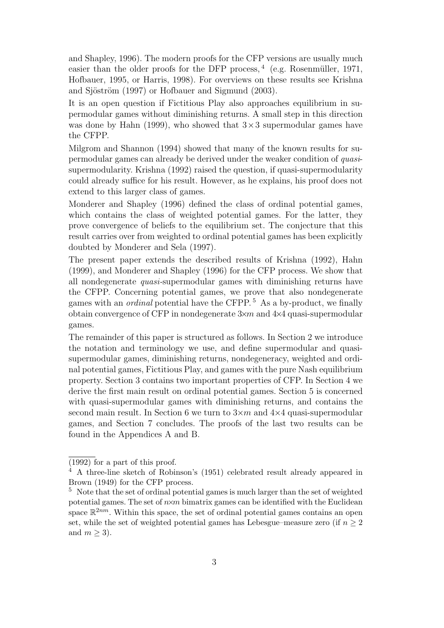and Shapley, 1996). The modern proofs for the CFP versions are usually much easier than the older proofs for the DFP process,  $4$  (e.g. Rosenmüller, 1971, Hofbauer, 1995, or Harris, 1998). For overviews on these results see Krishna and Sjöström (1997) or Hofbauer and Sigmund (2003).

It is an open question if Fictitious Play also approaches equilibrium in supermodular games without diminishing returns. A small step in this direction was done by Hahn (1999), who showed that  $3\times3$  supermodular games have the CFPP.

Milgrom and Shannon (1994) showed that many of the known results for supermodular games can already be derived under the weaker condition of quasisupermodularity. Krishna (1992) raised the question, if quasi-supermodularity could already suffice for his result. However, as he explains, his proof does not extend to this larger class of games.

Monderer and Shapley (1996) defined the class of ordinal potential games, which contains the class of weighted potential games. For the latter, they prove convergence of beliefs to the equilibrium set. The conjecture that this result carries over from weighted to ordinal potential games has been explicitly doubted by Monderer and Sela (1997).

The present paper extends the described results of Krishna (1992), Hahn (1999), and Monderer and Shapley (1996) for the CFP process. We show that all nondegenerate quasi-supermodular games with diminishing returns have the CFPP. Concerning potential games, we prove that also nondegenerate games with an *ordinal* potential have the CFPP.<sup>5</sup> As a by-product, we finally obtain convergence of CFP in nondegenerate 3×m and 4×4 quasi-supermodular games.

The remainder of this paper is structured as follows. In Section 2 we introduce the notation and terminology we use, and define supermodular and quasisupermodular games, diminishing returns, nondegeneracy, weighted and ordinal potential games, Fictitious Play, and games with the pure Nash equilibrium property. Section 3 contains two important properties of CFP. In Section 4 we derive the first main result on ordinal potential games. Section 5 is concerned with quasi-supermodular games with diminishing returns, and contains the second main result. In Section 6 we turn to  $3 \times m$  and  $4 \times 4$  quasi-supermodular games, and Section 7 concludes. The proofs of the last two results can be found in the Appendices A and B.

<sup>(1992)</sup> for a part of this proof.

<sup>4</sup> A three-line sketch of Robinson's (1951) celebrated result already appeared in Brown (1949) for the CFP process.

 $5$  Note that the set of ordinal potential games is much larger than the set of weighted potential games. The set of  $n \times m$  bimatrix games can be identified with the Euclidean space  $\mathbb{R}^{2nm}$ . Within this space, the set of ordinal potential games contains an open set, while the set of weighted potential games has Lebesgue–measure zero (if  $n \geq 2$ ) and  $m \geq 3$ ).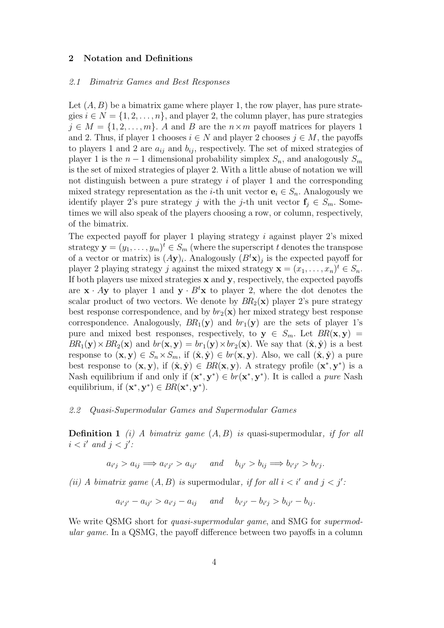#### 2 Notation and Definitions

#### 2.1 Bimatrix Games and Best Responses

Let  $(A, B)$  be a bimatrix game where player 1, the row player, has pure strategies  $i \in N = \{1, 2, \ldots, n\}$ , and player 2, the column player, has pure strategies  $j \in M = \{1, 2, \ldots, m\}$ . A and B are the  $n \times m$  payoff matrices for players 1 and 2. Thus, if player 1 chooses  $i \in N$  and player 2 chooses  $j \in M$ , the payoffs to players 1 and 2 are  $a_{ij}$  and  $b_{ij}$ , respectively. The set of mixed strategies of player 1 is the  $n-1$  dimensional probability simplex  $S_n$ , and analogously  $S_m$ is the set of mixed strategies of player 2. With a little abuse of notation we will not distinguish between a pure strategy  $i$  of player 1 and the corresponding mixed strategy representation as the *i*-th unit vector  $e_i \in S_n$ . Analogously we identify player 2's pure strategy j with the j-th unit vector  $f_i \in S_m$ . Sometimes we will also speak of the players choosing a row, or column, respectively, of the bimatrix.

The expected payoff for player 1 playing strategy  $i$  against player 2's mixed strategy  $\mathbf{y} = (y_1, \dots, y_m)^t \in S_m$  (where the superscript t denotes the transpose of a vector or matrix) is  $(Ay)_i$ . Analogously  $(B<sup>t</sup>x)_j$  is the expected payoff for player 2 playing strategy j against the mixed strategy  $\mathbf{x} = (x_1, \dots, x_n)^t \in S_n$ . If both players use mixed strategies  $x$  and  $y$ , respectively, the expected payoffs are  $\mathbf{x} \cdot A\mathbf{y}$  to player 1 and  $\mathbf{y} \cdot B^t\mathbf{x}$  to player 2, where the dot denotes the scalar product of two vectors. We denote by  $BR_2(\mathbf{x})$  player 2's pure strategy best response correspondence, and by  $br_2(\mathbf{x})$  her mixed strategy best response correspondence. Analogously,  $BR_1(\mathbf{y})$  and  $br_1(\mathbf{y})$  are the sets of player 1's pure and mixed best responses, respectively, to  $y \in S_m$ . Let  $BR(x, y) =$  $BR_1(\mathbf{y})\times BR_2(\mathbf{x})$  and  $br(\mathbf{x}, \mathbf{y}) = br_1(\mathbf{y})\times br_2(\mathbf{x})$ . We say that  $(\hat{\mathbf{x}}, \hat{\mathbf{y}})$  is a best response to  $(\mathbf{x}, \mathbf{y}) \in S_n \times S_m$ , if  $(\hat{\mathbf{x}}, \hat{\mathbf{y}}) \in br(\mathbf{x}, \mathbf{y})$ . Also, we call  $(\hat{\mathbf{x}}, \hat{\mathbf{y}})$  a pure best response to  $(x, y)$ , if  $(\hat{x}, \hat{y}) \in BR(x, y)$ . A strategy profile  $(x^*, y^*)$  is a Nash equilibrium if and only if  $(x^*, y^*) \in br(x^*, y^*)$ . It is called a *pure* Nash equilibrium, if  $(\mathbf{x}^*, \mathbf{y}^*) \in BR(\mathbf{x}^*, \mathbf{y}^*)$ .

#### 2.2 Quasi-Supermodular Games and Supermodular Games

**Definition 1** (i) A bimatrix game  $(A, B)$  is quasi-supermodular, if for all  $i < i'$  and  $j < j'$ :

$$
a_{i'j} > a_{ij} \implies a_{i'j'} > a_{ij'}
$$
 and  $b_{ij'} > b_{ij} \implies b_{i'j'} > b_{i'j}$ .

(ii) A bimatrix game  $(A, B)$  is supermodular, if for all  $i < i'$  and  $j < j'$ .

$$
a_{i'j'} - a_{ij'} > a_{i'j} - a_{ij}
$$
 and  $b_{i'j'} - b_{i'j} > b_{ij'} - b_{ij}$ .

We write QSMG short for *quasi-supermodular qame*, and SMG for *supermod*ular game. In a QSMG, the payoff difference between two payoffs in a column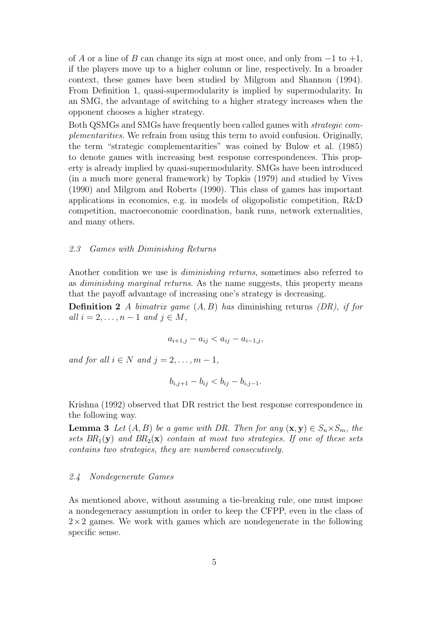of A or a line of B can change its sign at most once, and only from  $-1$  to  $+1$ , if the players move up to a higher column or line, respectively. In a broader context, these games have been studied by Milgrom and Shannon (1994). From Definition 1, quasi-supermodularity is implied by supermodularity. In an SMG, the advantage of switching to a higher strategy increases when the opponent chooses a higher strategy.

Both QSMGs and SMGs have frequently been called games with strategic complementarities. We refrain from using this term to avoid confusion. Originally, the term "strategic complementarities" was coined by Bulow et al. (1985) to denote games with increasing best response correspondences. This property is already implied by quasi-supermodularity. SMGs have been introduced (in a much more general framework) by Topkis (1979) and studied by Vives (1990) and Milgrom and Roberts (1990). This class of games has important applications in economics, e.g. in models of oligopolistic competition, R&D competition, macroeconomic coordination, bank runs, network externalities, and many others.

#### 2.3 Games with Diminishing Returns

Another condition we use is *diminishing returns*, sometimes also referred to as diminishing marginal returns. As the name suggests, this property means that the payoff advantage of increasing one's strategy is decreasing.

**Definition 2** A bimatrix game  $(A, B)$  has diminishing returns  $(DR)$ , if for all  $i = 2, \ldots, n - 1$  and  $j \in M$ ,

$$
a_{i+1,j} - a_{ij} < a_{ij} - a_{i-1,j},
$$

and for all  $i \in N$  and  $j = 2, \ldots, m - 1$ ,

$$
b_{i,j+1} - b_{ij} < b_{ij} - b_{i,j-1}.
$$

Krishna (1992) observed that DR restrict the best response correspondence in the following way.

**Lemma 3** Let  $(A, B)$  be a game with DR. Then for any  $(\mathbf{x}, \mathbf{y}) \in S_n \times S_m$ , the sets  $BR_1(\mathbf{y})$  and  $BR_2(\mathbf{x})$  contain at most two strategies. If one of these sets contains two strategies, they are numbered consecutively.

#### 2.4 Nondegenerate Games

As mentioned above, without assuming a tie-breaking rule, one must impose a nondegeneracy assumption in order to keep the CFPP, even in the class of  $2\times2$  games. We work with games which are nondegenerate in the following specific sense.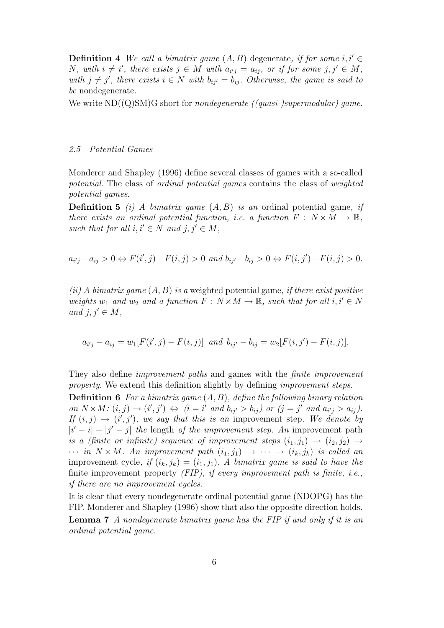**Definition 4** We call a bimatrix game  $(A, B)$  degenerate, if for some i, i' N, with  $i \neq i'$ , there exists  $j \in M$  with  $a_{i'j} = a_{ij}$ , or if for some  $j, j' \in M$ , with  $j \neq j'$ , there exists  $i \in N$  with  $b_{ij'} = b_{ij}$ . Otherwise, the game is said to be nondegenerate.

We write  $ND((Q)SM)G$  short for *nondegenerate ((quasi-)supermodular) game.* 

#### 2.5 Potential Games

Monderer and Shapley (1996) define several classes of games with a so-called potential. The class of ordinal potential games contains the class of weighted potential games.

**Definition 5** (i) A bimatrix game  $(A, B)$  is an ordinal potential game, if there exists an ordinal potential function, i.e. a function  $F: N \times M \to \mathbb{R}$ , such that for all  $i, i' \in N$  and  $j, j' \in M$ ,

$$
a_{i'j} - a_{ij} > 0 \Leftrightarrow F(i',j) - F(i,j) > 0 \text{ and } b_{ij'} - b_{ij} > 0 \Leftrightarrow F(i,j') - F(i,j) > 0.
$$

(ii) A bimatrix game  $(A, B)$  is a weighted potential game, if there exist positive weights  $w_1$  and  $w_2$  and a function  $F : N \times M \to \mathbb{R}$ , such that for all  $i, i' \in N$ and  $j, j' \in M$ ,

$$
a_{i'j} - a_{ij} = w_1[F(i',j) - F(i,j)]
$$
 and  $b_{ij'} - b_{ij} = w_2[F(i,j') - F(i,j)].$ 

They also define improvement paths and games with the finite improvement property. We extend this definition slightly by defining *improvement steps*.

**Definition 6** For a bimatrix game  $(A, B)$ , define the following binary relation on  $N \times M$ :  $(i, j) \rightarrow (i', j') \Leftrightarrow (i = i'$  and  $b_{ij'} > b_{ij})$  or  $(j = j'$  and  $a_{i'j} > a_{ij})$ . If  $(i, j) \rightarrow (i', j')$ , we say that this is an improvement step. We denote by  $|i'-i|+|j'-j|$  the length of the improvement step. An improvement path is a (finite or infinite) sequence of improvement steps  $(i_1, j_1) \rightarrow (i_2, j_2) \rightarrow$  $\cdots$  in  $N \times M$ . An improvement path  $(i_1, j_1) \rightarrow \cdots \rightarrow (i_k, j_k)$  is called an improvement cycle, if  $(i_k, j_k) = (i_1, j_1)$ . A bimatrix game is said to have the finite improvement property  $(FIP)$ , if every improvement path is finite, i.e., if there are no improvement cycles.

It is clear that every nondegenerate ordinal potential game (NDOPG) has the FIP. Monderer and Shapley (1996) show that also the opposite direction holds. **Lemma 7** A nondegenerate bimatrix game has the FIP if and only if it is an ordinal potential game.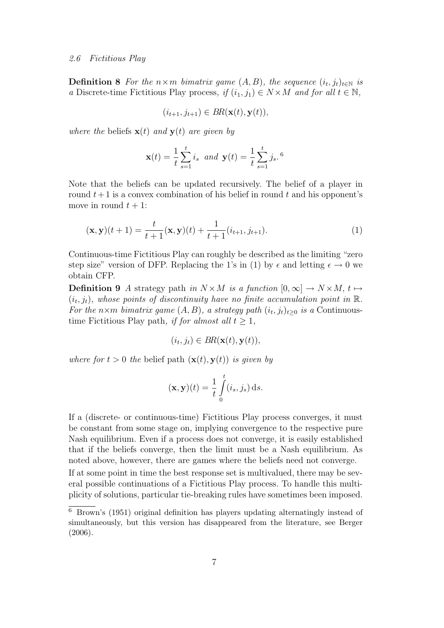#### 2.6 Fictitious Play

**Definition 8** For the  $n \times m$  bimatrix game  $(A, B)$ , the sequence  $(i_t, j_t)_{t \in \mathbb{N}}$  is a Discrete-time Fictitious Play process, if  $(i_1, j_1) \in N \times M$  and for all  $t \in \mathbb{N}$ ,

$$
(i_{t+1}, j_{t+1}) \in BR(\mathbf{x}(t), \mathbf{y}(t)),
$$

where the beliefs  $\mathbf{x}(t)$  and  $\mathbf{y}(t)$  are given by

$$
\mathbf{x}(t) = \frac{1}{t} \sum_{s=1}^{t} i_s \text{ and } \mathbf{y}(t) = \frac{1}{t} \sum_{s=1}^{t} j_s.6
$$

Note that the beliefs can be updated recursively. The belief of a player in round  $t+1$  is a convex combination of his belief in round t and his opponent's move in round  $t + 1$ :

$$
(\mathbf{x}, \mathbf{y})(t+1) = \frac{t}{t+1}(\mathbf{x}, \mathbf{y})(t) + \frac{1}{t+1}(i_{t+1}, j_{t+1}).
$$
\n(1)

Continuous-time Fictitious Play can roughly be described as the limiting "zero step size" version of DFP. Replacing the 1's in (1) by  $\epsilon$  and letting  $\epsilon \to 0$  we obtain CFP.

**Definition 9** A strategy path in  $N \times M$  is a function  $[0, \infty] \to N \times M$ ,  $t \mapsto$  $(i_t, j_t)$ , whose points of discontinuity have no finite accumulation point in  $\mathbb{R}$ . For the n×m bimatrix game  $(A, B)$ , a strategy path  $(i_t, j_t)_{t \geq 0}$  is a Continuoustime Fictitious Play path, if for almost all  $t \geq 1$ ,

$$
(i_t, j_t) \in BR(\mathbf{x}(t), \mathbf{y}(t)),
$$

where for  $t > 0$  the belief path  $(\mathbf{x}(t), \mathbf{y}(t))$  is given by

$$
(\mathbf{x}, \mathbf{y})(t) = \frac{1}{t} \int_{0}^{t} (i_s, j_s) \, ds.
$$

If a (discrete- or continuous-time) Fictitious Play process converges, it must be constant from some stage on, implying convergence to the respective pure Nash equilibrium. Even if a process does not converge, it is easily established that if the beliefs converge, then the limit must be a Nash equilibrium. As noted above, however, there are games where the beliefs need not converge.

If at some point in time the best response set is multivalued, there may be several possible continuations of a Fictitious Play process. To handle this multiplicity of solutions, particular tie-breaking rules have sometimes been imposed.

<sup>6</sup> Brown's (1951) original definition has players updating alternatingly instead of simultaneously, but this version has disappeared from the literature, see Berger (2006).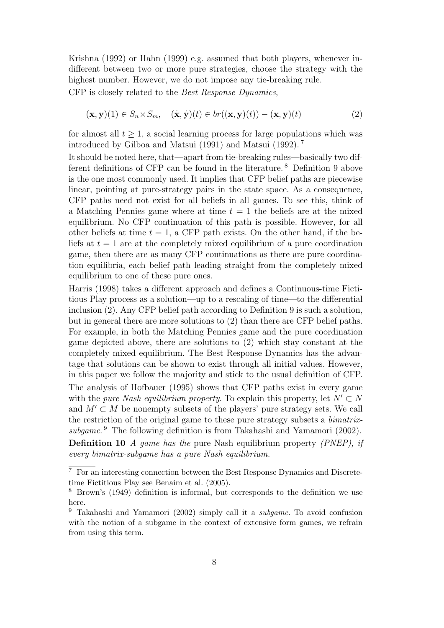Krishna (1992) or Hahn (1999) e.g. assumed that both players, whenever indifferent between two or more pure strategies, choose the strategy with the highest number. However, we do not impose any tie-breaking rule.

CFP is closely related to the Best Response Dynamics,

$$
(\mathbf{x}, \mathbf{y})(1) \in S_n \times S_m, \quad (\dot{\mathbf{x}}, \dot{\mathbf{y}})(t) \in br((\mathbf{x}, \mathbf{y})(t)) - (\mathbf{x}, \mathbf{y})(t) \tag{2}
$$

for almost all  $t \geq 1$ , a social learning process for large populations which was introduced by Gilboa and Matsui (1991) and Matsui (1992). <sup>7</sup>

It should be noted here, that—apart from tie-breaking rules—basically two different definitions of CFP can be found in the literature. <sup>8</sup> Definition 9 above is the one most commonly used. It implies that CFP belief paths are piecewise linear, pointing at pure-strategy pairs in the state space. As a consequence, CFP paths need not exist for all beliefs in all games. To see this, think of a Matching Pennies game where at time  $t = 1$  the beliefs are at the mixed equilibrium. No CFP continuation of this path is possible. However, for all other beliefs at time  $t = 1$ , a CFP path exists. On the other hand, if the beliefs at  $t = 1$  are at the completely mixed equilibrium of a pure coordination game, then there are as many CFP continuations as there are pure coordination equilibria, each belief path leading straight from the completely mixed equilibrium to one of these pure ones.

Harris (1998) takes a different approach and defines a Continuous-time Fictitious Play process as a solution—up to a rescaling of time—to the differential inclusion (2). Any CFP belief path according to Definition 9 is such a solution, but in general there are more solutions to (2) than there are CFP belief paths. For example, in both the Matching Pennies game and the pure coordination game depicted above, there are solutions to (2) which stay constant at the completely mixed equilibrium. The Best Response Dynamics has the advantage that solutions can be shown to exist through all initial values. However, in this paper we follow the majority and stick to the usual definition of CFP. The analysis of Hofbauer (1995) shows that CFP paths exist in every game with the *pure Nash equilibrium property*. To explain this property, let  $N' \subset N$ and  $M' \subset M$  be nonempty subsets of the players' pure strategy sets. We call the restriction of the original game to these pure strategy subsets a bimatrixsubgame. <sup>9</sup> The following definition is from Takahashi and Yamamori (2002). Definition 10 A game has the pure Nash equilibrium property (PNEP), if

every bimatrix-subgame has a pure Nash equilibrium.

 $\overline{7\,}$  For an interesting connection between the Best Response Dynamics and Discretetime Fictitious Play see Benaim et al. (2005).

<sup>8</sup> Brown's (1949) definition is informal, but corresponds to the definition we use here.

<sup>9</sup> Takahashi and Yamamori (2002) simply call it a subgame. To avoid confusion with the notion of a subgame in the context of extensive form games, we refrain from using this term.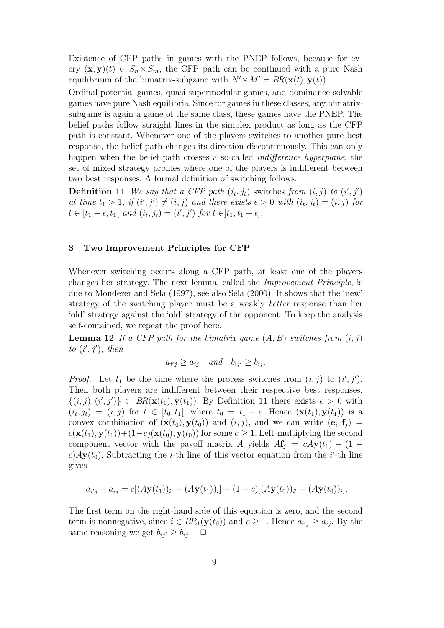Existence of CFP paths in games with the PNEP follows, because for every  $(\mathbf{x}, \mathbf{y})(t) \in S_n \times S_m$ , the CFP path can be continued with a pure Nash equilibrium of the bimatrix-subgame with  $N' \times M' = BR(\mathbf{x}(t), \mathbf{y}(t)).$ 

Ordinal potential games, quasi-supermodular games, and dominance-solvable games have pure Nash equilibria. Since for games in these classes, any bimatrixsubgame is again a game of the same class, these games have the PNEP. The belief paths follow straight lines in the simplex product as long as the CFP path is constant. Whenever one of the players switches to another pure best response, the belief path changes its direction discontinuously. This can only happen when the belief path crosses a so-called *indifference hyperplane*, the set of mixed strategy profiles where one of the players is indifferent between two best responses. A formal definition of switching follows.

**Definition 11** We say that a CFP path  $(i_t, j_t)$  switches from  $(i, j)$  to  $(i', j')$ at time  $t_1 > 1$ , if  $(i', j') \neq (i, j)$  and there exists  $\epsilon > 0$  with  $(i_t, j_t) = (i, j)$  for  $t \in [t_1 - \epsilon, t_1[ \text{ and } (i_t, j_t) = (i', j') \text{ for } t \in ]t_1, t_1 + \epsilon].$ 

#### 3 Two Improvement Principles for CFP

Whenever switching occurs along a CFP path, at least one of the players changes her strategy. The next lemma, called the Improvement Principle, is due to Monderer and Sela (1997), see also Sela (2000). It shows that the 'new' strategy of the switching player must be a weakly better response than her 'old' strategy against the 'old' strategy of the opponent. To keep the analysis self-contained, we repeat the proof here.

**Lemma 12** If a CFP path for the bimatrix game  $(A, B)$  switches from  $(i, j)$ to  $(i', j')$ , then

$$
a_{i'j} \ge a_{ij}
$$
 and  $b_{ij'} \ge b_{ij}$ .

*Proof.* Let  $t_1$  be the time where the process switches from  $(i, j)$  to  $(i', j')$ . Then both players are indifferent between their respective best responses,  $\{(i,j),(i',j')\} \subset BR(\mathbf{x}(t_1),\mathbf{y}(t_1))$ . By Definition 11 there exists  $\epsilon > 0$  with  $(i_t, j_t) = (i, j)$  for  $t \in [t_0, t_1],$  where  $t_0 = t_1 - \epsilon$ . Hence  $(\mathbf{x}(t_1), \mathbf{y}(t_1))$  is a convex combination of  $(\mathbf{x}(t_0), \mathbf{y}(t_0))$  and  $(i, j)$ , and we can write  $(\mathbf{e}_i, \mathbf{f}_j)$  =  $c(\mathbf{x}(t_1), \mathbf{y}(t_1)) + (1-c)(\mathbf{x}(t_0), \mathbf{y}(t_0))$  for some  $c \geq 1$ . Left-multiplying the second component vector with the payoff matrix A yields  $A\mathbf{f}_i = cA\mathbf{y}(t_1) + (1$ c)  $Ay(t_0)$ . Subtracting the *i*-th line of this vector equation from the *i*'-th line gives

$$
a_{i'j} - a_{ij} = c[(A\mathbf{y}(t_1))_{i'} - (A\mathbf{y}(t_1))_{i}] + (1 - c)[(A\mathbf{y}(t_0))_{i'} - (A\mathbf{y}(t_0))_{i}].
$$

The first term on the right-hand side of this equation is zero, and the second term is nonnegative, since  $i \in BR_1(\mathbf{y}(t_0))$  and  $c \geq 1$ . Hence  $a_{i'j} \geq a_{ij}$ . By the same reasoning we get  $b_{ij'} \geq b_{ij}$ .  $\Box$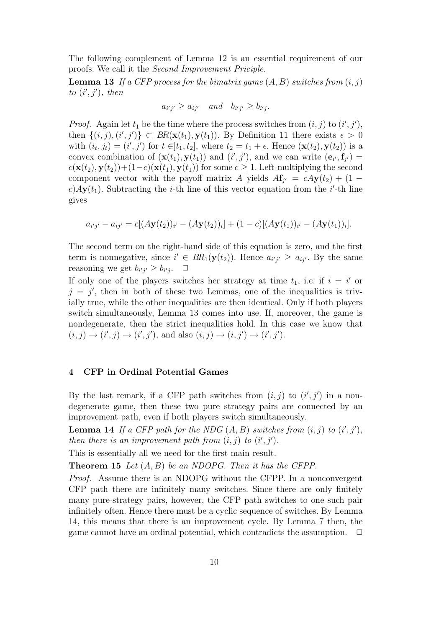The following complement of Lemma 12 is an essential requirement of our proofs. We call it the Second Improvement Priciple.

**Lemma 13** If a CFP process for the bimatrix game  $(A, B)$  switches from  $(i, j)$ to  $(i', j')$ , then

$$
a_{i'j'} \ge a_{ij'}
$$
 and  $b_{i'j'} \ge b_{i'j}$ .

*Proof.* Again let  $t_1$  be the time where the process switches from  $(i, j)$  to  $(i', j')$ , then  $\{(i,j),(i',j')\} \subset BR(\mathbf{x}(t_1),\mathbf{y}(t_1))$ . By Definition 11 there exists  $\epsilon > 0$ with  $(i_t, j_t) = (i', j')$  for  $t \in ]t_1, t_2]$ , where  $t_2 = t_1 + \epsilon$ . Hence  $(\mathbf{x}(t_2), \mathbf{y}(t_2))$  is a convex combination of  $(\mathbf{x}(t_1), \mathbf{y}(t_1))$  and  $(i', j')$ , and we can write  $(\mathbf{e}_{i'}, \mathbf{f}_{j'}) =$  $c(\mathbf{x}(t_2), \mathbf{y}(t_2)) + (1-c)(\mathbf{x}(t_1), \mathbf{y}(t_1))$  for some  $c \geq 1$ . Left-multiplying the second component vector with the payoff matrix A yields  $A\mathbf{f}_{j'} = cAy(t_2) + (1$ c)  $Ay(t_1)$ . Subtracting the *i*-th line of this vector equation from the *i*'-th line gives

$$
a_{i'j'} - a_{ij'} = c[(A\mathbf{y}(t_2))_{i'} - (A\mathbf{y}(t_2))_{i}] + (1-c)[(A\mathbf{y}(t_1))_{i'} - (A\mathbf{y}(t_1))_{i}].
$$

The second term on the right-hand side of this equation is zero, and the first term is nonnegative, since  $i' \in BR_1(\mathbf{y}(t_2))$ . Hence  $a_{i'j'} \ge a_{ij'}$ . By the same reasoning we get  $b_{i'j'} \geq b_{i'j}$ .  $\Box$ 

If only one of the players switches her strategy at time  $t_1$ , i.e. if  $i = i'$  or  $j = j'$ , then in both of these two Lemmas, one of the inequalities is trivially true, while the other inequalities are then identical. Only if both players switch simultaneously, Lemma 13 comes into use. If, moreover, the game is nondegenerate, then the strict inequalities hold. In this case we know that  $(i, j) \to (i', j) \to (i', j')$ , and also  $(i, j) \to (i, j') \to (i', j')$ .

# 4 CFP in Ordinal Potential Games

By the last remark, if a CFP path switches from  $(i, j)$  to  $(i', j')$  in a nondegenerate game, then these two pure strategy pairs are connected by an improvement path, even if both players switch simultaneously.

**Lemma 14** If a CFP path for the NDG  $(A, B)$  switches from  $(i, j)$  to  $(i', j')$ , then there is an improvement path from  $(i, j)$  to  $(i', j')$ .

This is essentially all we need for the first main result.

**Theorem 15** Let  $(A, B)$  be an NDOPG. Then it has the CFPP.

Proof. Assume there is an NDOPG without the CFPP. In a nonconvergent CFP path there are infinitely many switches. Since there are only finitely many pure-strategy pairs, however, the CFP path switches to one such pair infinitely often. Hence there must be a cyclic sequence of switches. By Lemma 14, this means that there is an improvement cycle. By Lemma 7 then, the game cannot have an ordinal potential, which contradicts the assumption.  $\Box$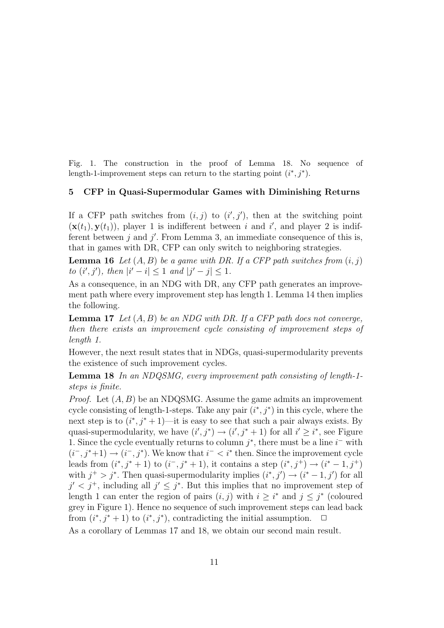Fig. 1. The construction in the proof of Lemma 18. No sequence of length-1-improvement steps can return to the starting point  $(i^*, j^*)$ .

#### 5 CFP in Quasi-Supermodular Games with Diminishing Returns

If a CFP path switches from  $(i, j)$  to  $(i', j')$ , then at the switching point  $(\mathbf{x}(t_1), \mathbf{y}(t_1))$ , player 1 is indifferent between i and i', and player 2 is indifferent between  $j$  and  $j'$ . From Lemma 3, an immediate consequence of this is, that in games with DR, CFP can only switch to neighboring strategies.

**Lemma 16** Let  $(A, B)$  be a game with DR. If a CFP path switches from  $(i, j)$ to  $(i', j')$ , then  $|i'-i| \leq 1$  and  $|j'-j| \leq 1$ .

As a consequence, in an NDG with DR, any CFP path generates an improvement path where every improvement step has length 1. Lemma 14 then implies the following.

**Lemma 17** Let  $(A, B)$  be an NDG with DR. If a CFP path does not converge, then there exists an improvement cycle consisting of improvement steps of length 1.

However, the next result states that in NDGs, quasi-supermodularity prevents the existence of such improvement cycles.

Lemma 18 In an NDQSMG, every improvement path consisting of length-1 steps is finite.

*Proof.* Let  $(A, B)$  be an NDQSMG. Assume the game admits an improvement cycle consisting of length-1-steps. Take any pair  $(i^*, j^*)$  in this cycle, where the next step is to  $(i^*, j^* + 1)$ —it is easy to see that such a pair always exists. By quasi-supermodularity, we have  $(i', j^*) \rightarrow (i', j^* + 1)$  for all  $i' \geq i^*$ , see Figure 1. Since the cycle eventually returns to column  $j^*$ , there must be a line  $i^-$  with  $(i^-, j^*+1) \rightarrow (i^-, j^*)$ . We know that  $i^- < i^*$  then. Since the improvement cycle leads from  $(i^*, j^* + 1)$  to  $(i^-, j^* + 1)$ , it contains a step  $(i^*, j^+) \rightarrow (i^* - 1, j^+)$ with  $j^+ > j^*$ . Then quasi-supermodularity implies  $(i^*, j') \rightarrow (i^* - 1, j')$  for all  $j' < j^+$ , including all  $j' \leq j^*$ . But this implies that no improvement step of length 1 can enter the region of pairs  $(i, j)$  with  $i \geq i^*$  and  $j \leq j^*$  (coloured grey in Figure 1). Hence no sequence of such improvement steps can lead back from  $(i^*, j^* + 1)$  to  $(i^*, j^*)$ , contradicting the initial assumption.  $\Box$ 

As a corollary of Lemmas 17 and 18, we obtain our second main result.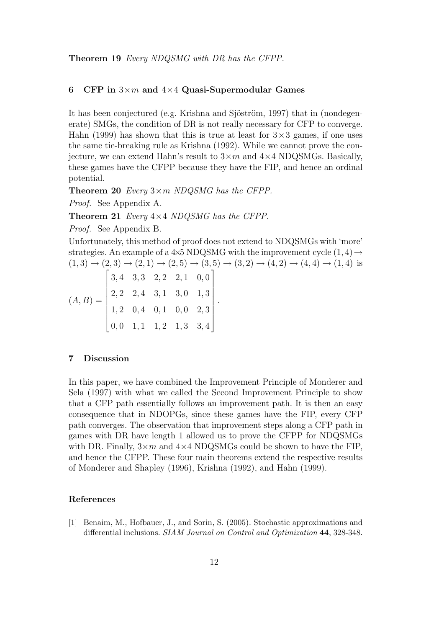#### 6 CFP in  $3\times m$  and  $4\times 4$  Quasi-Supermodular Games

It has been conjectured (e.g. Krishna and Sjöström, 1997) that in (nondegenerate) SMGs, the condition of DR is not really necessary for CFP to converge. Hahn (1999) has shown that this is true at least for  $3\times3$  games, if one uses the same tie-breaking rule as Krishna (1992). While we cannot prove the conjecture, we can extend Hahn's result to  $3 \times m$  and  $4 \times 4$  NDQSMGs. Basically, these games have the CFPP because they have the FIP, and hence an ordinal potential.

**Theorem 20** Every  $3 \times m$  NDQSMG has the CFPP.

Proof. See Appendix A.

**Theorem 21** Every  $4 \times 4$  NDQSMG has the CFPP.

Proof. See Appendix B.

Unfortunately, this method of proof does not extend to NDQSMGs with 'more' strategies. An example of a 4 $\times$ 5 NDQSMG with the improvement cycle  $(1, 4) \rightarrow$  $(1,3) \rightarrow (2,3) \rightarrow (2,1) \rightarrow (2,5) \rightarrow (3,5) \rightarrow (3,2) \rightarrow (4,2) \rightarrow (4,4) \rightarrow (1,4)$  is

.

$$
(A, B) = \begin{bmatrix} 3, 4 & 3, 3 & 2, 2 & 2, 1 & 0, 0 \\ 2, 2 & 2, 4 & 3, 1 & 3, 0 & 1, 3 \\ 1, 2 & 0, 4 & 0, 1 & 0, 0 & 2, 3 \\ 0, 0 & 1, 1 & 1, 2 & 1, 3 & 3, 4 \end{bmatrix}
$$

#### 7 Discussion

In this paper, we have combined the Improvement Principle of Monderer and Sela (1997) with what we called the Second Improvement Principle to show that a CFP path essentially follows an improvement path. It is then an easy consequence that in NDOPGs, since these games have the FIP, every CFP path converges. The observation that improvement steps along a CFP path in games with DR have length 1 allowed us to prove the CFPP for NDQSMGs with DR. Finally,  $3 \times m$  and  $4 \times 4$  NDQSMGs could be shown to have the FIP, and hence the CFPP. These four main theorems extend the respective results of Monderer and Shapley (1996), Krishna (1992), and Hahn (1999).

#### References

[1] Benaim, M., Hofbauer, J., and Sorin, S. (2005). Stochastic approximations and differential inclusions. SIAM Journal on Control and Optimization 44, 328-348.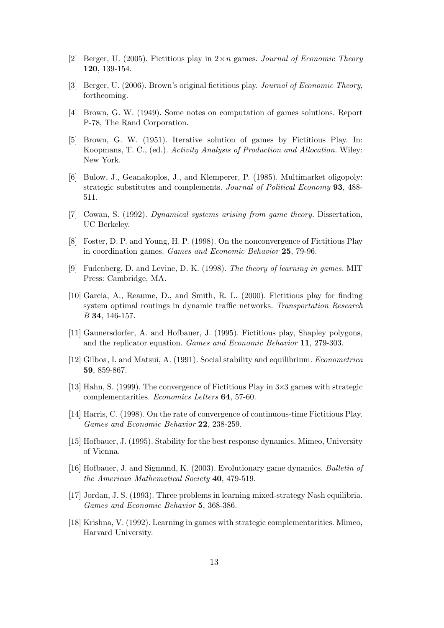- [2] Berger, U. (2005). Fictitious play in  $2 \times n$  games. *Journal of Economic Theory* 120, 139-154.
- [3] Berger, U. (2006). Brown's original fictitious play. Journal of Economic Theory, forthcoming.
- [4] Brown, G. W. (1949). Some notes on computation of games solutions. Report P-78, The Rand Corporation.
- [5] Brown, G. W. (1951). Iterative solution of games by Fictitious Play. In: Koopmans, T. C., (ed.). Activity Analysis of Production and Allocation. Wiley: New York.
- [6] Bulow, J., Geanakoplos, J., and Klemperer, P. (1985). Multimarket oligopoly: strategic substitutes and complements. Journal of Political Economy 93, 488- 511.
- [7] Cowan, S. (1992). Dynamical systems arising from game theory. Dissertation, UC Berkeley.
- [8] Foster, D. P. and Young, H. P. (1998). On the nonconvergence of Fictitious Play in coordination games. Games and Economic Behavior 25, 79-96.
- [9] Fudenberg, D. and Levine, D. K. (1998). The theory of learning in games. MIT Press: Cambridge, MA.
- [10] Garcia, A., Reaume, D., and Smith, R. L. (2000). Fictitious play for finding system optimal routings in dynamic traffic networks. Transportation Research B 34, 146-157.
- [11] Gaunersdorfer, A. and Hofbauer, J. (1995). Fictitious play, Shapley polygons, and the replicator equation. Games and Economic Behavior 11, 279-303.
- [12] Gilboa, I. and Matsui, A. (1991). Social stability and equilibrium. Econometrica 59, 859-867.
- [13] Hahn, S. (1999). The convergence of Fictitious Play in 3×3 games with strategic complementarities. Economics Letters 64, 57-60.
- [14] Harris, C. (1998). On the rate of convergence of continuous-time Fictitious Play. Games and Economic Behavior 22, 238-259.
- [15] Hofbauer, J. (1995). Stability for the best response dynamics. Mimeo, University of Vienna.
- [16] Hofbauer, J. and Sigmund, K. (2003). Evolutionary game dynamics. Bulletin of the American Mathematical Society 40, 479-519.
- [17] Jordan, J. S. (1993). Three problems in learning mixed-strategy Nash equilibria. Games and Economic Behavior 5, 368-386.
- [18] Krishna, V. (1992). Learning in games with strategic complementarities. Mimeo, Harvard University.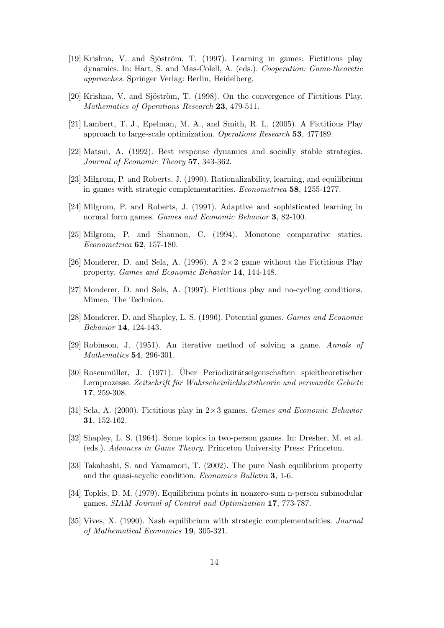- [19] Krishna, V. and Sjöström, T. (1997). Learning in games: Fictitious play dynamics. In: Hart, S. and Mas-Colell, A. (eds.). Cooperation: Game-theoretic approaches. Springer Verlag: Berlin, Heidelberg.
- [20] Krishna, V. and Sjöström, T. (1998). On the convergence of Fictitious Play. Mathematics of Operations Research 23, 479-511.
- [21] Lambert, T. J., Epelman, M. A., and Smith, R. L. (2005). A Fictitious Play approach to large-scale optimization. Operations Research 53, 477489.
- [22] Matsui, A. (1992). Best response dynamics and socially stable strategies. Journal of Economic Theory 57, 343-362.
- [23] Milgrom, P. and Roberts, J. (1990). Rationalizability, learning, and equilibrium in games with strategic complementarities. Econometrica 58, 1255-1277.
- [24] Milgrom, P. and Roberts, J. (1991). Adaptive and sophisticated learning in normal form games. *Games and Economic Behavior* **3**, 82-100.
- [25] Milgrom, P. and Shannon, C. (1994). Monotone comparative statics. Econometrica 62, 157-180.
- [26] Monderer, D. and Sela, A. (1996). A  $2 \times 2$  game without the Fictitious Play property. Games and Economic Behavior 14, 144-148.
- [27] Monderer, D. and Sela, A. (1997). Fictitious play and no-cycling conditions. Mimeo, The Technion.
- [28] Monderer, D. and Shapley, L. S. (1996). Potential games. Games and Economic Behavior 14, 124-143.
- [29] Robinson, J. (1951). An iterative method of solving a game. Annals of Mathematics 54, 296-301.
- [30] Rosenmüller, J. (1971). Über Periodizitätseigenschaften spieltheoretischer Lernprozesse. Zeitschrift für Wahrscheinlichkeitstheorie und verwandte Gebiete 17, 259-308.
- [31] Sela, A. (2000). Fictitious play in 2×3 games. Games and Economic Behavior 31, 152-162.
- [32] Shapley, L. S. (1964). Some topics in two-person games. In: Dresher, M. et al. (eds.). Advances in Game Theory. Princeton University Press: Princeton.
- [33] Takahashi, S. and Yamamori, T. (2002). The pure Nash equilibrium property and the quasi-acyclic condition. Economics Bulletin 3, 1-6.
- [34] Topkis, D. M. (1979). Equilibrium points in nonzero-sum n-person submodular games. SIAM Journal of Control and Optimization 17, 773-787.
- [35] Vives, X. (1990). Nash equilibrium with strategic complementarities. Journal of Mathematical Economics 19, 305-321.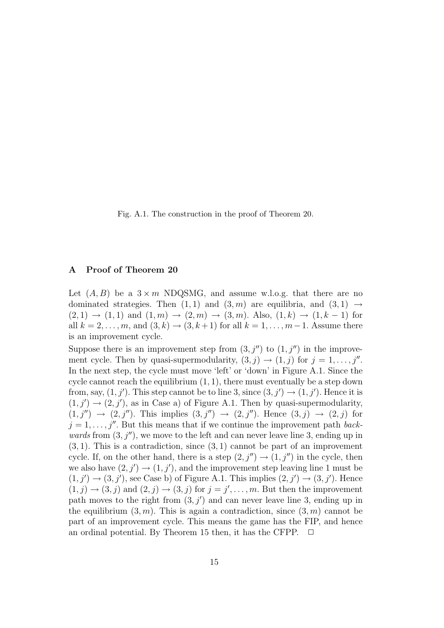Fig. A.1. The construction in the proof of Theorem 20.

### A Proof of Theorem 20

Let  $(A, B)$  be a  $3 \times m$  NDQSMG, and assume w.l.o.g. that there are no dominated strategies. Then  $(1, 1)$  and  $(3, m)$  are equilibria, and  $(3, 1) \rightarrow$  $(2, 1) \rightarrow (1, 1)$  and  $(1, m) \rightarrow (2, m) \rightarrow (3, m)$ . Also,  $(1, k) \rightarrow (1, k - 1)$  for all  $k = 2, \ldots, m$ , and  $(3, k) \rightarrow (3, k + 1)$  for all  $k = 1, \ldots, m - 1$ . Assume there is an improvement cycle.

Suppose there is an improvement step from  $(3, j'')$  to  $(1, j'')$  in the improvement cycle. Then by quasi-supermodularity,  $(3, j) \rightarrow (1, j)$  for  $j = 1, \ldots, j''$ . In the next step, the cycle must move 'left' or 'down' in Figure A.1. Since the cycle cannot reach the equilibrium  $(1, 1)$ , there must eventually be a step down from, say,  $(1, j')$ . This step cannot be to line 3, since  $(3, j') \rightarrow (1, j')$ . Hence it is  $(1, j') \rightarrow (2, j')$ , as in Case a) of Figure A.1. Then by quasi-supermodularity,  $(1, j'') \rightarrow (2, j'')$ . This implies  $(3, j'') \rightarrow (2, j'')$ . Hence  $(3, j) \rightarrow (2, j)$  for  $j = 1, \ldots, j''$ . But this means that if we continue the improvement path backwards from  $(3, j'')$ , we move to the left and can never leave line 3, ending up in  $(3, 1)$ . This is a contradiction, since  $(3, 1)$  cannot be part of an improvement cycle. If, on the other hand, there is a step  $(2, j'') \rightarrow (1, j'')$  in the cycle, then we also have  $(2, j') \rightarrow (1, j')$ , and the improvement step leaving line 1 must be  $(1, j') \rightarrow (3, j')$ , see Case b) of Figure A.1. This implies  $(2, j') \rightarrow (3, j')$ . Hence  $(1, j) \rightarrow (3, j)$  and  $(2, j) \rightarrow (3, j)$  for  $j = j', \dots, m$ . But then the improvement path moves to the right from  $(3, j')$  and can never leave line 3, ending up in the equilibrium  $(3, m)$ . This is again a contradiction, since  $(3, m)$  cannot be part of an improvement cycle. This means the game has the FIP, and hence an ordinal potential. By Theorem 15 then, it has the CFPP.  $\Box$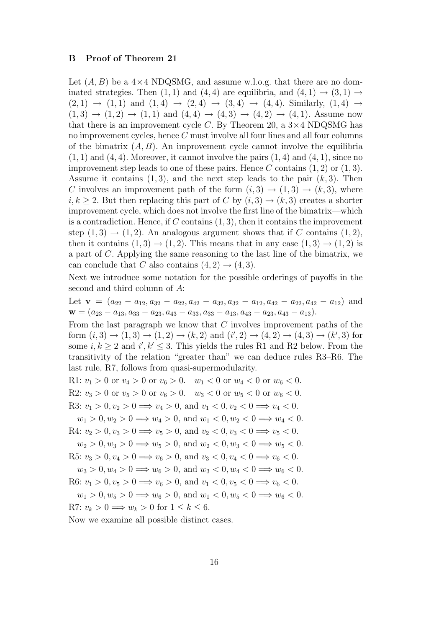#### B Proof of Theorem 21

Let  $(A, B)$  be a  $4 \times 4$  NDQSMG, and assume w.l.o.g. that there are no dominated strategies. Then  $(1, 1)$  and  $(4, 4)$  are equilibria, and  $(4, 1) \rightarrow (3, 1) \rightarrow$  $(2, 1) \rightarrow (1, 1)$  and  $(1, 4) \rightarrow (2, 4) \rightarrow (3, 4) \rightarrow (4, 4)$ . Similarly,  $(1, 4) \rightarrow$  $(1,3) \rightarrow (1,2) \rightarrow (1,1)$  and  $(4,4) \rightarrow (4,3) \rightarrow (4,2) \rightarrow (4,1)$ . Assume now that there is an improvement cycle C. By Theorem 20, a  $3\times4$  NDQSMG has no improvement cycles, hence C must involve all four lines and all four columns of the bimatrix  $(A, B)$ . An improvement cycle cannot involve the equilibria  $(1, 1)$  and  $(4, 4)$ . Moreover, it cannot involve the pairs  $(1, 4)$  and  $(4, 1)$ , since no improvement step leads to one of these pairs. Hence C contains  $(1, 2)$  or  $(1, 3)$ . Assume it contains  $(1, 3)$ , and the next step leads to the pair  $(k, 3)$ . Then C involves an improvement path of the form  $(i, 3) \rightarrow (1, 3) \rightarrow (k, 3)$ , where  $i, k \geq 2$ . But then replacing this part of C by  $(i, 3) \rightarrow (k, 3)$  creates a shorter improvement cycle, which does not involve the first line of the bimatrix—which is a contradiction. Hence, if  $C$  contains  $(1, 3)$ , then it contains the improvement step  $(1,3) \rightarrow (1,2)$ . An analogous argument shows that if C contains  $(1,2)$ , then it contains  $(1,3) \rightarrow (1,2)$ . This means that in any case  $(1,3) \rightarrow (1,2)$  is a part of C. Applying the same reasoning to the last line of the bimatrix, we can conclude that C also contains  $(4, 2) \rightarrow (4, 3)$ .

Next we introduce some notation for the possible orderings of payoffs in the second and third column of A:

Let  $\mathbf{v} = (a_{22} - a_{12}, a_{32} - a_{22}, a_{42} - a_{32}, a_{32} - a_{12}, a_{42} - a_{22}, a_{42} - a_{12})$  and  $\mathbf{w} = (a_{23} - a_{13}, a_{33} - a_{23}, a_{43} - a_{33}, a_{33} - a_{13}, a_{43} - a_{23}, a_{43} - a_{13}).$ 

From the last paragraph we know that  $C$  involves improvement paths of the form  $(i, 3) \rightarrow (1, 3) \rightarrow (1, 2) \rightarrow (k, 2)$  and  $(i', 2) \rightarrow (4, 2) \rightarrow (4, 3) \rightarrow (k', 3)$  for some  $i, k \geq 2$  and  $i', k' \leq 3$ . This yields the rules R1 and R2 below. From the transitivity of the relation "greater than" we can deduce rules R3–R6. The last rule, R7, follows from quasi-supermodularity.

R1:  $v_1 > 0$  or  $v_4 > 0$  or  $v_6 > 0$ .  $w_1 < 0$  or  $w_4 < 0$  or  $w_6 < 0$ . R2:  $v_3 > 0$  or  $v_5 > 0$  or  $v_6 > 0$ .  $w_3 < 0$  or  $w_5 < 0$  or  $w_6 < 0$ . R3:  $v_1 > 0, v_2 > 0 \implies v_4 > 0$ , and  $v_1 < 0, v_2 < 0 \implies v_4 < 0$ .  $w_1 > 0, w_2 > 0 \Longrightarrow w_4 > 0$ , and  $w_1 < 0, w_2 < 0 \Longrightarrow w_4 < 0$ . R4:  $v_2 > 0, v_3 > 0 \implies v_5 > 0$ , and  $v_2 < 0, v_3 < 0 \implies v_5 < 0$ .  $w_2 > 0, w_3 > 0 \Longrightarrow w_5 > 0$ , and  $w_2 < 0, w_3 < 0 \Longrightarrow w_5 < 0$ . R5:  $v_3 > 0, v_4 > 0 \implies v_6 > 0$ , and  $v_3 < 0, v_4 < 0 \implies v_6 < 0$ .  $w_3 > 0, w_4 > 0 \Longrightarrow w_6 > 0$ , and  $w_3 < 0, w_4 < 0 \Longrightarrow w_6 < 0$ . R6:  $v_1 > 0, v_5 > 0 \implies v_6 > 0$ , and  $v_1 < 0, v_5 < 0 \implies v_6 < 0$ .  $w_1 > 0, w_5 > 0 \Longrightarrow w_6 > 0$ , and  $w_1 < 0, w_5 < 0 \Longrightarrow w_6 < 0$ . R7:  $v_k > 0 \Longrightarrow w_k > 0$  for  $1 \leq k \leq 6$ .

Now we examine all possible distinct cases.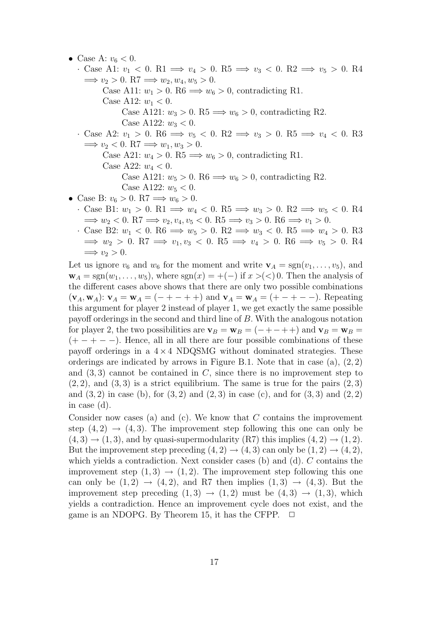• Case A:  $v_6 < 0$ . · Case A1:  $v_1 < 0$ . R1  $\implies v_4 > 0$ . R5  $\implies v_3 < 0$ . R2  $\implies v_5 > 0$ . R4  $\implies v_2 > 0. \ R7 \implies w_2, w_4, w_5 > 0.$ Case A11:  $w_1 > 0$ . R6  $\implies w_6 > 0$ , contradicting R1. Case A12:  $w_1 < 0$ . Case A121:  $w_3 > 0$ . R5  $\implies w_6 > 0$ , contradicting R2. Case A122:  $w_3 < 0$ . · Case A2:  $v_1 > 0$ . R6  $\implies v_5 < 0$ . R2  $\implies v_3 > 0$ . R5  $\implies v_4 < 0$ . R3  $\implies v_2 < 0.$  R7 $\implies w_1, w_3 > 0.$ Case A21:  $w_4 > 0$ . R5  $\implies w_6 > 0$ , contradicting R1. Case A22:  $w_4 < 0$ . Case A121:  $w_5 > 0$ . R6  $\implies w_6 > 0$ , contradicting R2. Case A122:  $w_5 < 0$ . • Case B:  $v_6 > 0$ . R7  $\implies w_6 > 0$ . · Case B1:  $w_1 > 0$ . R1  $\implies w_4 < 0$ . R5  $\implies w_3 > 0$ . R2  $\implies w_5 < 0$ . R4  $\implies w_2 < 0$ . R7 $\implies v_2, v_4, v_5 < 0$ . R5 $\implies v_3 > 0$ . R6 $\implies v_1 > 0$ .

· Case B2:  $w_1 < 0$ . R6  $\implies w_5 > 0$ . R2  $\implies w_3 < 0$ . R5  $\implies w_4 > 0$ . R3  $\implies w_2 > 0.$  R7  $\implies v_1, v_3 < 0.$  R5  $\implies v_4 > 0.$  R6  $\implies v_5 > 0.$  R4  $\implies v_2 > 0.$ 

Let us ignore  $v_6$  and  $w_6$  for the moment and write  $\mathbf{v}_A = \text{sgn}(v_1, \ldots, v_5)$ , and  $\mathbf{w}_A = \text{sgn}(w_1, \ldots, w_5)$ , where  $\text{sgn}(x) = +(-1)$  if  $x > (< 0$ . Then the analysis of the different cases above shows that there are only two possible combinations  $(\mathbf{v}_A, \mathbf{w}_A): \mathbf{v}_A = \mathbf{w}_A = (- + - + +)$  and  $\mathbf{v}_A = \mathbf{w}_A = (+ - + - -)$ . Repeating this argument for player 2 instead of player 1, we get exactly the same possible payoff orderings in the second and third line of B. With the analogous notation for player 2, the two possibilities are  $\mathbf{v}_B = \mathbf{w}_B = (- + - + +)$  and  $\mathbf{v}_B = \mathbf{w}_B =$  $(+-+ - -)$ . Hence, all in all there are four possible combinations of these payoff orderings in a  $4 \times 4$  NDQSMG without dominated strategies. These orderings are indicated by arrows in Figure B.1. Note that in case  $(a)$ ,  $(2, 2)$ and  $(3, 3)$  cannot be contained in C, since there is no improvement step to  $(2, 2)$ , and  $(3, 3)$  is a strict equilibrium. The same is true for the pairs  $(2, 3)$ and  $(3, 2)$  in case (b), for  $(3, 2)$  and  $(2, 3)$  in case (c), and for  $(3, 3)$  and  $(2, 2)$ in case (d).

Consider now cases (a) and (c). We know that  $C$  contains the improvement step  $(4, 2) \rightarrow (4, 3)$ . The improvement step following this one can only be  $(4,3) \rightarrow (1,3)$ , and by quasi-supermodularity  $(R7)$  this implies  $(4,2) \rightarrow (1,2)$ . But the improvement step preceding  $(4, 2) \rightarrow (4, 3)$  can only be  $(1, 2) \rightarrow (4, 2)$ , which yields a contradiction. Next consider cases (b) and (d).  $C$  contains the improvement step  $(1,3) \rightarrow (1,2)$ . The improvement step following this one can only be  $(1, 2) \rightarrow (4, 2)$ , and R7 then implies  $(1, 3) \rightarrow (4, 3)$ . But the improvement step preceding  $(1,3) \rightarrow (1,2)$  must be  $(4,3) \rightarrow (1,3)$ , which yields a contradiction. Hence an improvement cycle does not exist, and the game is an NDOPG. By Theorem 15, it has the CFPP.  $\Box$